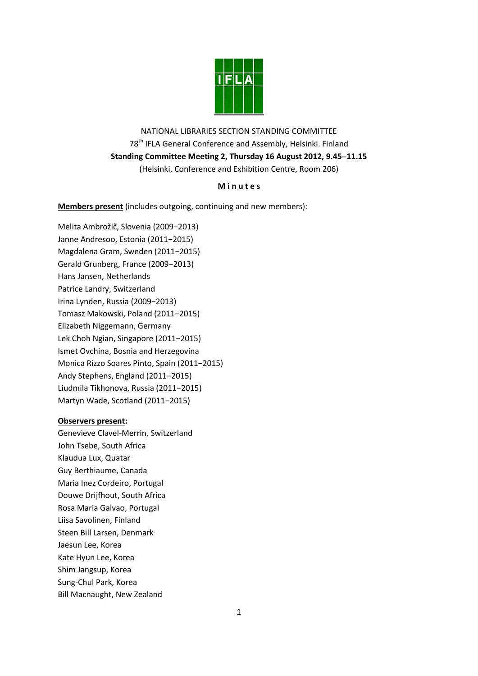

NATIONAL LIBRARIES SECTION STANDING COMMITTEE 78<sup>th</sup> IFLA General Conference and Assembly, Helsinki. Finland **Standing Committee Meeting 2, Thursday 16 August 2012, 9.4511.15** (Helsinki, Conference and Exhibition Centre, Room 206)

# **M i n u t e s**

**Members present** (includes outgoing, continuing and new members):

Melita Ambrožič, Slovenia (2009−2013) Janne Andresoo, Estonia (2011−2015) Magdalena Gram, Sweden (2011−2015) Gerald Grunberg, France (2009−2013) Hans Jansen, Netherlands Patrice Landry, Switzerland Irina Lynden, Russia (2009−2013) Tomasz Makowski, Poland (2011−2015) Elizabeth Niggemann, Germany Lek Choh Ngian, Singapore (2011−2015) Ismet Ovchina, Bosnia and Herzegovina Monica Rizzo Soares Pinto, Spain (2011−2015) Andy Stephens, England (2011−2015) Liudmila Tikhonova, Russia (2011−2015) Martyn Wade, Scotland (2011−2015)

# **Observers present:**

Genevieve Clavel-Merrin, Switzerland John Tsebe, South Africa Klaudua Lux, Quatar Guy Berthiaume, Canada Maria Inez Cordeiro, Portugal Douwe Drijfhout, South Africa Rosa Maria Galvao, Portugal Liisa Savolinen, Finland Steen Bill Larsen, Denmark Jaesun Lee, Korea Kate Hyun Lee, Korea Shim Jangsup, Korea Sung-Chul Park, Korea Bill Macnaught, New Zealand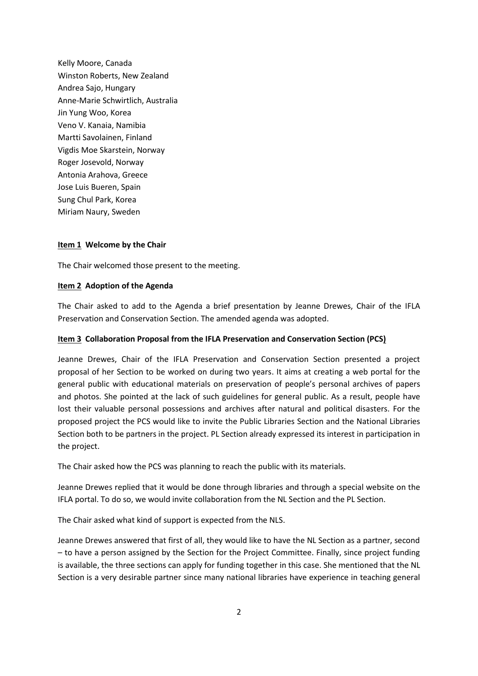Kelly Moore, Canada Winston Roberts, New Zealand Andrea Sajo, Hungary Anne-Marie Schwirtlich, Australia Jin Yung Woo, Korea Veno V. Kanaia, Namibia Martti Savolainen, Finland Vigdis Moe Skarstein, Norway Roger Josevold, Norway Antonia Arahova, Greece Jose Luis Bueren, Spain Sung Chul Park, Korea Miriam Naury, Sweden

## **Item 1 Welcome by the Chair**

The Chair welcomed those present to the meeting.

### **Item 2 Adoption of the Agenda**

The Chair asked to add to the Agenda a brief presentation by Jeanne Drewes, Chair of the IFLA Preservation and Conservation Section. The amended agenda was adopted.

#### **Item 3 Collaboration Proposal from the IFLA Preservation and Conservation Section (PCS)**

Jeanne Drewes, Chair of the IFLA Preservation and Conservation Section presented a project proposal of her Section to be worked on during two years. It aims at creating a web portal for the general public with educational materials on preservation of people's personal archives of papers and photos. She pointed at the lack of such guidelines for general public. As a result, people have lost their valuable personal possessions and archives after natural and political disasters. For the proposed project the PCS would like to invite the Public Libraries Section and the National Libraries Section both to be partners in the project. PL Section already expressed its interest in participation in the project.

The Chair asked how the PCS was planning to reach the public with its materials.

Jeanne Drewes replied that it would be done through libraries and through a special website on the IFLA portal. To do so, we would invite collaboration from the NL Section and the PL Section.

The Chair asked what kind of support is expected from the NLS.

Jeanne Drewes answered that first of all, they would like to have the NL Section as a partner, second – to have a person assigned by the Section for the Project Committee. Finally, since project funding is available, the three sections can apply for funding together in this case. She mentioned that the NL Section is a very desirable partner since many national libraries have experience in teaching general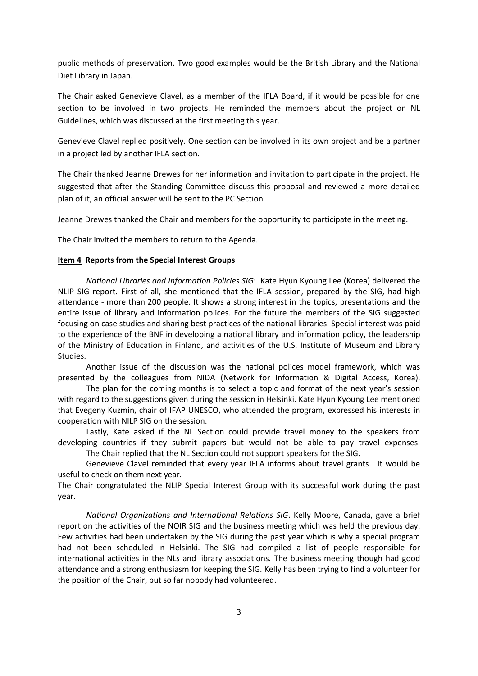public methods of preservation. Two good examples would be the British Library and the National Diet Library in Japan.

The Chair asked Genevieve Clavel, as a member of the IFLA Board, if it would be possible for one section to be involved in two projects. He reminded the members about the project on NL Guidelines, which was discussed at the first meeting this year.

Genevieve Clavel replied positively. One section can be involved in its own project and be a partner in a project led by another IFLA section.

The Chair thanked Jeanne Drewes for her information and invitation to participate in the project. He suggested that after the Standing Committee discuss this proposal and reviewed a more detailed plan of it, an official answer will be sent to the PC Section.

Jeanne Drewes thanked the Chair and members for the opportunity to participate in the meeting.

The Chair invited the members to return to the Agenda.

#### **Item 4 Reports from the Special Interest Groups**

*National Libraries and Information Policies SIG*: Kate Hyun Kyoung Lee (Korea) delivered the NLIP SIG report. First of all, she mentioned that the IFLA session, prepared by the SIG, had high attendance - more than 200 people. It shows a strong interest in the topics, presentations and the entire issue of library and information polices. For the future the members of the SIG suggested focusing on case studies and sharing best practices of the national libraries. Special interest was paid to the experience of the BNF in developing a national library and information policy, the leadership of the Ministry of Education in Finland, and activities of the U.S. Institute of Museum and Library Studies.

Another issue of the discussion was the national polices model framework, which was presented by the colleagues from NIDA (Network for Information & Digital Access, Korea).

The plan for the coming months is to select a topic and format of the next year's session with regard to the suggestions given during the session in Helsinki. Kate Hyun Kyoung Lee mentioned that Evegeny Kuzmin, chair of IFAP UNESCO, who attended the program, expressed his interests in cooperation with NILP SIG on the session.

Lastly, Kate asked if the NL Section could provide travel money to the speakers from developing countries if they submit papers but would not be able to pay travel expenses.

The Chair replied that the NL Section could not support speakers for the SIG.

Genevieve Clavel reminded that every year IFLA informs about travel grants. It would be useful to check on them next year.

The Chair congratulated the NLIP Special Interest Group with its successful work during the past year.

*National Organizations and International Relations SIG*. Kelly Moore, Canada, gave a brief report on the activities of the NOIR SIG and the business meeting which was held the previous day. Few activities had been undertaken by the SIG during the past year which is why a special program had not been scheduled in Helsinki. The SIG had compiled a list of people responsible for international activities in the NLs and library associations. The business meeting though had good attendance and a strong enthusiasm for keeping the SIG. Kelly has been trying to find a volunteer for the position of the Chair, but so far nobody had volunteered.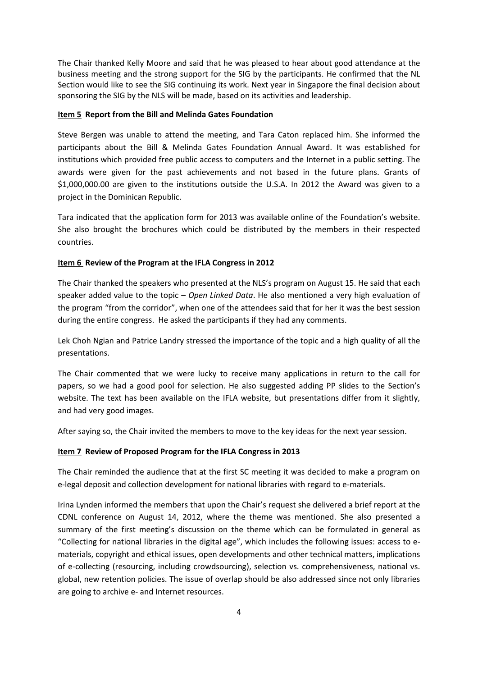The Chair thanked Kelly Moore and said that he was pleased to hear about good attendance at the business meeting and the strong support for the SIG by the participants. He confirmed that the NL Section would like to see the SIG continuing its work. Next year in Singapore the final decision about sponsoring the SIG by the NLS will be made, based on its activities and leadership.

#### **Item 5 Report from the Bill and Melinda Gates Foundation**

Steve Bergen was unable to attend the meeting, and Tara Caton replaced him. She informed the participants about the Bill & Melinda Gates Foundation Annual Award. It was established for institutions which provided free public access to computers and the Internet in a public setting. The awards were given for the past achievements and not based in the future plans. Grants of \$1,000,000.00 are given to the institutions outside the U.S.A. In 2012 the Award was given to a project in the Dominican Republic.

Tara indicated that the application form for 2013 was available online of the Foundation's website. She also brought the brochures which could be distributed by the members in their respected countries.

## **Item 6 Review of the Program at the IFLA Congress in 2012**

The Chair thanked the speakers who presented at the NLS's program on August 15. He said that each speaker added value to the topic – *Open Linked Data*. He also mentioned a very high evaluation of the program "from the corridor", when one of the attendees said that for her it was the best session during the entire congress. He asked the participants if they had any comments.

Lek Choh Ngian and Patrice Landry stressed the importance of the topic and a high quality of all the presentations.

The Chair commented that we were lucky to receive many applications in return to the call for papers, so we had a good pool for selection. He also suggested adding PP slides to the Section's website. The text has been available on the IFLA website, but presentations differ from it slightly, and had very good images.

After saying so, the Chair invited the members to move to the key ideas for the next year session.

## **Item 7 Review of Proposed Program for the IFLA Congress in 2013**

The Chair reminded the audience that at the first SC meeting it was decided to make a program on e-legal deposit and collection development for national libraries with regard to e-materials.

Irina Lynden informed the members that upon the Chair's request she delivered a brief report at the CDNL conference on August 14, 2012, where the theme was mentioned. She also presented a summary of the first meeting's discussion on the theme which can be formulated in general as "Collecting for national libraries in the digital age", which includes the following issues: access to ematerials, copyright and ethical issues, open developments and other technical matters, implications of e-collecting (resourcing, including crowdsourcing), selection vs. comprehensiveness, national vs. global, new retention policies. The issue of overlap should be also addressed since not only libraries are going to archive e- and Internet resources.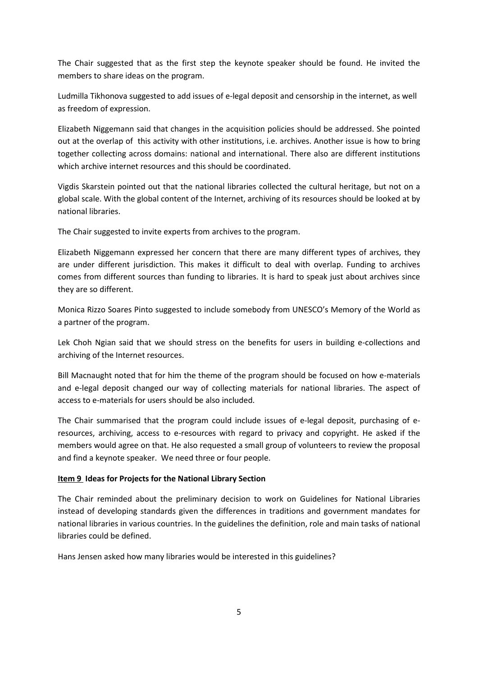The Chair suggested that as the first step the keynote speaker should be found. He invited the members to share ideas on the program.

Ludmilla Tikhonova suggested to add issues of e-legal deposit and censorship in the internet, as well as freedom of expression.

Elizabeth Niggemann said that changes in the acquisition policies should be addressed. She pointed out at the overlap of this activity with other institutions, i.e. archives. Another issue is how to bring together collecting across domains: national and international. There also are different institutions which archive internet resources and this should be coordinated.

Vigdis Skarstein pointed out that the national libraries collected the cultural heritage, but not on a global scale. With the global content of the Internet, archiving of its resources should be looked at by national libraries.

The Chair suggested to invite experts from archives to the program.

Elizabeth Niggemann expressed her concern that there are many different types of archives, they are under different jurisdiction. This makes it difficult to deal with overlap. Funding to archives comes from different sources than funding to libraries. It is hard to speak just about archives since they are so different.

Monica Rizzo Soares Pinto suggested to include somebody from UNESCO's Memory of the World as a partner of the program.

Lek Choh Ngian said that we should stress on the benefits for users in building e-collections and archiving of the Internet resources.

Bill Macnaught noted that for him the theme of the program should be focused on how e-materials and e-legal deposit changed our way of collecting materials for national libraries. The aspect of access to e-materials for users should be also included.

The Chair summarised that the program could include issues of e-legal deposit, purchasing of eresources, archiving, access to e-resources with regard to privacy and copyright. He asked if the members would agree on that. He also requested a small group of volunteers to review the proposal and find a keynote speaker. We need three or four people.

## **Item 9 Ideas for Projects for the National Library Section**

The Chair reminded about the preliminary decision to work on Guidelines for National Libraries instead of developing standards given the differences in traditions and government mandates for national libraries in various countries. In the guidelines the definition, role and main tasks of national libraries could be defined.

Hans Jensen asked how many libraries would be interested in this guidelines?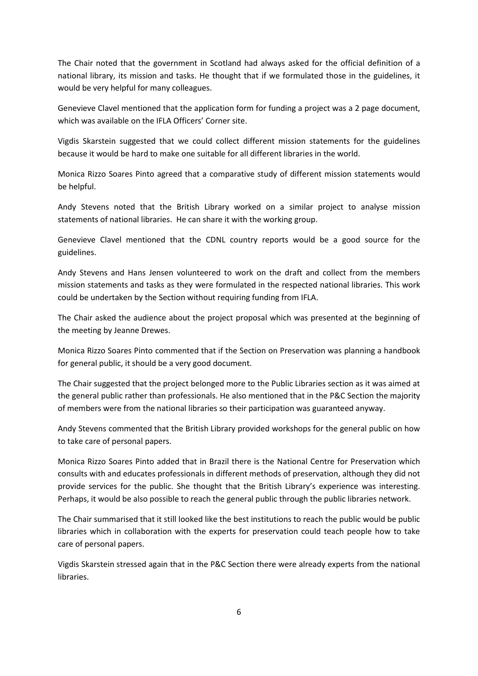The Chair noted that the government in Scotland had always asked for the official definition of a national library, its mission and tasks. He thought that if we formulated those in the guidelines, it would be very helpful for many colleagues.

Genevieve Clavel mentioned that the application form for funding a project was a 2 page document, which was available on the IFLA Officers' Corner site.

Vigdis Skarstein suggested that we could collect different mission statements for the guidelines because it would be hard to make one suitable for all different libraries in the world.

Monica Rizzo Soares Pinto agreed that a comparative study of different mission statements would be helpful.

Andy Stevens noted that the British Library worked on a similar project to analyse mission statements of national libraries. He can share it with the working group.

Genevieve Clavel mentioned that the CDNL country reports would be a good source for the guidelines.

Andy Stevens and Hans Jensen volunteered to work on the draft and collect from the members mission statements and tasks as they were formulated in the respected national libraries. This work could be undertaken by the Section without requiring funding from IFLA.

The Chair asked the audience about the project proposal which was presented at the beginning of the meeting by Jeanne Drewes.

Monica Rizzo Soares Pinto commented that if the Section on Preservation was planning a handbook for general public, it should be a very good document.

The Chair suggested that the project belonged more to the Public Libraries section as it was aimed at the general public rather than professionals. He also mentioned that in the P&C Section the majority of members were from the national libraries so their participation was guaranteed anyway.

Andy Stevens commented that the British Library provided workshops for the general public on how to take care of personal papers.

Monica Rizzo Soares Pinto added that in Brazil there is the National Centre for Preservation which consults with and educates professionals in different methods of preservation, although they did not provide services for the public. She thought that the British Library's experience was interesting. Perhaps, it would be also possible to reach the general public through the public libraries network.

The Chair summarised that it still looked like the best institutions to reach the public would be public libraries which in collaboration with the experts for preservation could teach people how to take care of personal papers.

Vigdis Skarstein stressed again that in the P&C Section there were already experts from the national libraries.